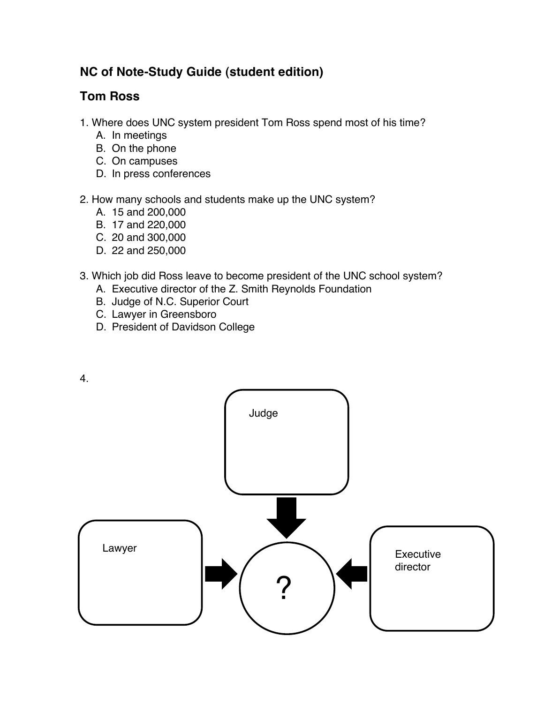## **NC of Note-Study Guide (student edition)**

## **Tom Ross**

- 1. Where does UNC system president Tom Ross spend most of his time?
	- A. In meetings
	- B. On the phone
	- C. On campuses
	- D. In press conferences

## 2. How many schools and students make up the UNC system?

- A. 15 and 200,000
- B. 17 and 220,000
- C. 20 and 300,000
- D. 22 and 250,000
- 3. Which job did Ross leave to become president of the UNC school system?
	- A. Executive director of the Z. Smith Reynolds Foundation
	- B. Judge of N.C. Superior Court
	- C. Lawyer in Greensboro
	- D. President of Davidson College

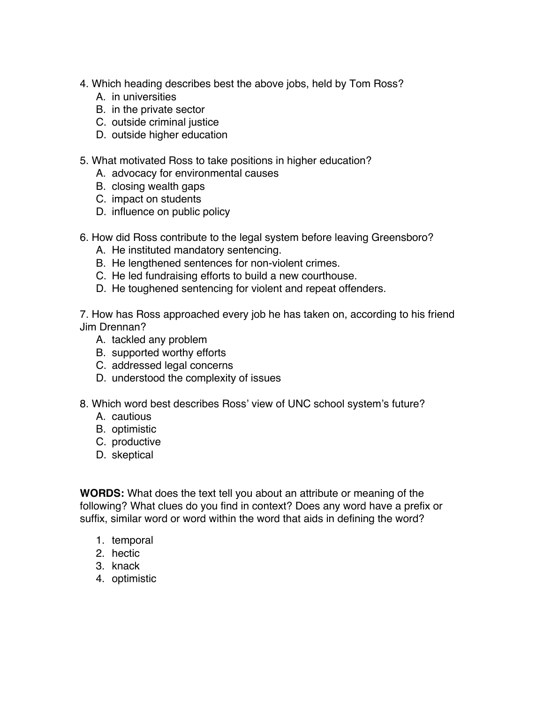- 4. Which heading describes best the above jobs, held by Tom Ross?
	- A. in universities
	- B. in the private sector
	- C. outside criminal justice
	- D. outside higher education
- 5. What motivated Ross to take positions in higher education?
	- A. advocacy for environmental causes
	- B. closing wealth gaps
	- C. impact on students
	- D. influence on public policy
- 6. How did Ross contribute to the legal system before leaving Greensboro?
	- A. He instituted mandatory sentencing.
	- B. He lengthened sentences for non-violent crimes.
	- C. He led fundraising efforts to build a new courthouse.
	- D. He toughened sentencing for violent and repeat offenders.

7. How has Ross approached every job he has taken on, according to his friend Jim Drennan?

- A. tackled any problem
- B. supported worthy efforts
- C. addressed legal concerns
- D. understood the complexity of issues
- 8. Which word best describes Ross' view of UNC school system's future?
	- A. cautious
	- B. optimistic
	- C. productive
	- D. skeptical

**WORDS:** What does the text tell you about an attribute or meaning of the following? What clues do you find in context? Does any word have a prefix or suffix, similar word or word within the word that aids in defining the word?

- 1. temporal
- 2. hectic
- 3. knack
- 4. optimistic